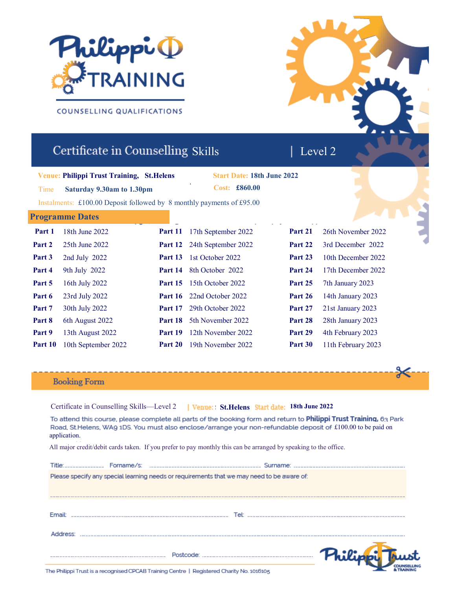

COUNSELLING QUALIFICATIONS

# Certificate in Counselling Skills

**Venue: Philippi Trust Training, St.Helens**

Time **Saturday 9.30am to 1.30pm**

**Philippi Trust Training, 419 Lord Street , Southport, PR9 0AG Start Date: 18th June 2022 Cost: £860.00**

**3rd June 2019** Monday 6pm - 10pm Instalments: £100.00 Deposit followed by 8 monthly payments of £95.00

# **Programme Dates**

| Part 1  | 18th June 2022      | Part 11        | 17th September 2022              | Part 21 | 26th November 2022 |
|---------|---------------------|----------------|----------------------------------|---------|--------------------|
| Part 2  | 25th June 2022      | Part 12        | 24th September 2022              | Part 22 | 3rd December 2022  |
| Part 3  | 2nd July 2022       | Part 13        | 1st October 2022                 | Part 23 | 10th December 2022 |
| Part 4  | 9th July 2022       | Part 14        | 8th October 2022                 | Part 24 | 17th December 2022 |
| Part 5  | 16th July 2022      | <b>Part 15</b> | 15th October 2022                | Part 25 | 7th January 2023   |
| Part 6  | 23rd July 2022      |                | <b>Part 16</b> 22nd October 2022 | Part 26 | 14th January 2023  |
| Part 7  | 30th July 2022      | Part 17        | 29th October 2022                | Part 27 | 21st January 2023  |
| Part 8  | 6th August 2022     | <b>Part 18</b> | 5th November 2022                | Part 28 | 28th January 2023  |
| Part 9  | 13th August 2022    | Part 19        | 12th November 2022               | Part 29 | 4th February 2023  |
| Part 10 | 10th September 2022 | Part 20        | 19th November 2022               | Part 30 | 11th February 2023 |

# **Booking Form**

Certificate in Counselling Skills—Level 2  **St.Helens 18th June 2022**To attend this course, please complete all parts of the booking form and return to Philippi Trust Training, 63 Park

Road. St.Helens, WA9 1DS. You must also enclose/arrange your non-refundable deposit of £100.00 to be paid on application.

All major credit/debit cards taken. If you prefer to pay monthly this can be arranged by speaking to the office.

|               | Please specify any special learning needs or requirements that we may need to be aware of: |  |
|---------------|--------------------------------------------------------------------------------------------|--|
|               |                                                                                            |  |
|               |                                                                                            |  |
|               |                                                                                            |  |
| <b>Email:</b> | Tel:                                                                                       |  |
|               |                                                                                            |  |
|               |                                                                                            |  |
|               |                                                                                            |  |
|               |                                                                                            |  |
|               |                                                                                            |  |
|               |                                                                                            |  |

The Philippi Trust is a recognised CPCAB Training Centre | Registered Charity No. 1016105